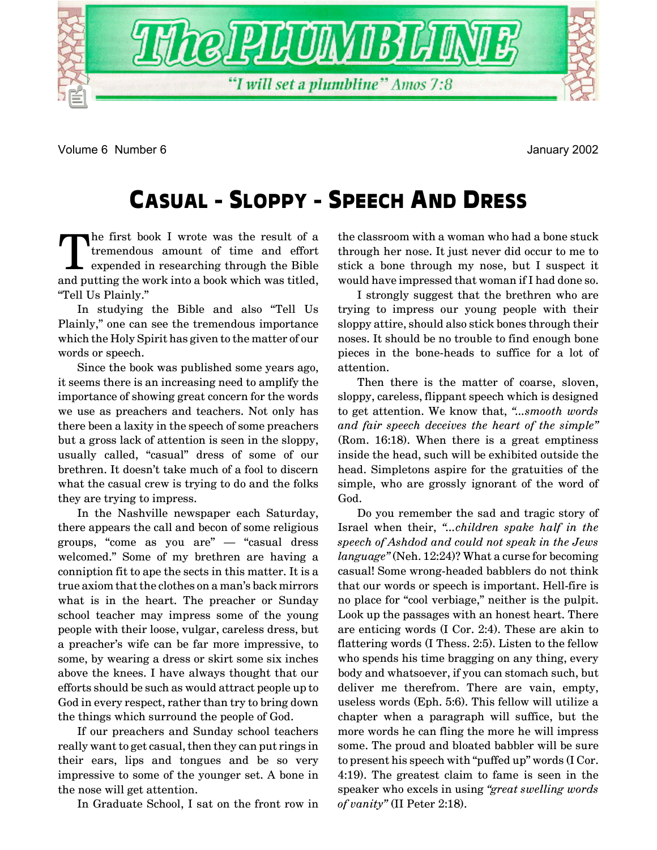

Volume 6 Number 6 January 2002

# **CASUAL - SLOPPY - SPEECH AND DRESS**

The first book I wrote was the result of a<br>tremendous amount of time and effort<br>expended in researching through the Bible<br>and nutting the work integership was titled tremendous amount of time and effort expended in researching through the Bible and putting the work into a book which was titled, "Tell Us Plainly."

In studying the Bible and also "Tell Us Plainly," one can see the tremendous importance which the Holy Spirit has given to the matter of our words or speech.

Since the book was published some years ago, it seems there is an increasing need to amplify the importance of showing great concern for the words we use as preachers and teachers. Not only has there been a laxity in the speech of some preachers but a gross lack of attention is seen in the sloppy, usually called, "casual" dress of some of our brethren. It doesnít take much of a fool to discern what the casual crew is trying to do and the folks they are trying to impress.

In the Nashville newspaper each Saturday, there appears the call and becon of some religious groups, "come as you  $are"$  – "casual dress" welcomed." Some of my brethren are having a conniption fit to ape the sects in this matter. It is a true axiom that the clothes on a man's back mirrors what is in the heart. The preacher or Sunday school teacher may impress some of the young people with their loose, vulgar, careless dress, but a preacherís wife can be far more impressive, to some, by wearing a dress or skirt some six inches above the knees. I have always thought that our efforts should be such as would attract people up to God in every respect, rather than try to bring down the things which surround the people of God.

If our preachers and Sunday school teachers really want to get casual, then they can put rings in their ears, lips and tongues and be so very impressive to some of the younger set. A bone in the nose will get attention.

In Graduate School, I sat on the front row in

the classroom with a woman who had a bone stuck through her nose. It just never did occur to me to stick a bone through my nose, but I suspect it would have impressed that woman if I had done so.

I strongly suggest that the brethren who are trying to impress our young people with their sloppy attire, should also stick bones through their noses. It should be no trouble to find enough bone pieces in the bone-heads to suffice for a lot of attention.

Then there is the matter of coarse, sloven, sloppy, careless, flippant speech which is designed to get attention. We know that, "...smooth words *and fair speech deceives the heart of the simple*" (Rom. 16:18). When there is a great emptiness inside the head, such will be exhibited outside the head. Simpletons aspire for the gratuities of the simple, who are grossly ignorant of the word of God.

Do you remember the sad and tragic story of Israel when their, "...children spake half in the *speech of Ashdod and could not speak in the Jews language*" (Neh. 12:24)? What a curse for becoming casual! Some wrong-headed babblers do not think that our words or speech is important. Hell-fire is no place for "cool verbiage," neither is the pulpit. Look up the passages with an honest heart. There are enticing words (I Cor. 2:4). These are akin to flattering words (I Thess. 2:5). Listen to the fellow who spends his time bragging on any thing, every body and whatsoever, if you can stomach such, but deliver me therefrom. There are vain, empty, useless words (Eph. 5:6). This fellow will utilize a chapter when a paragraph will suffice, but the more words he can fling the more he will impress some. The proud and bloated babbler will be sure to present his speech with "puffed up" words  $(ICor.$ 4:19). The greatest claim to fame is seen in the speaker who excels in using "great swelling words" *of vanityî* (II Peter 2:18).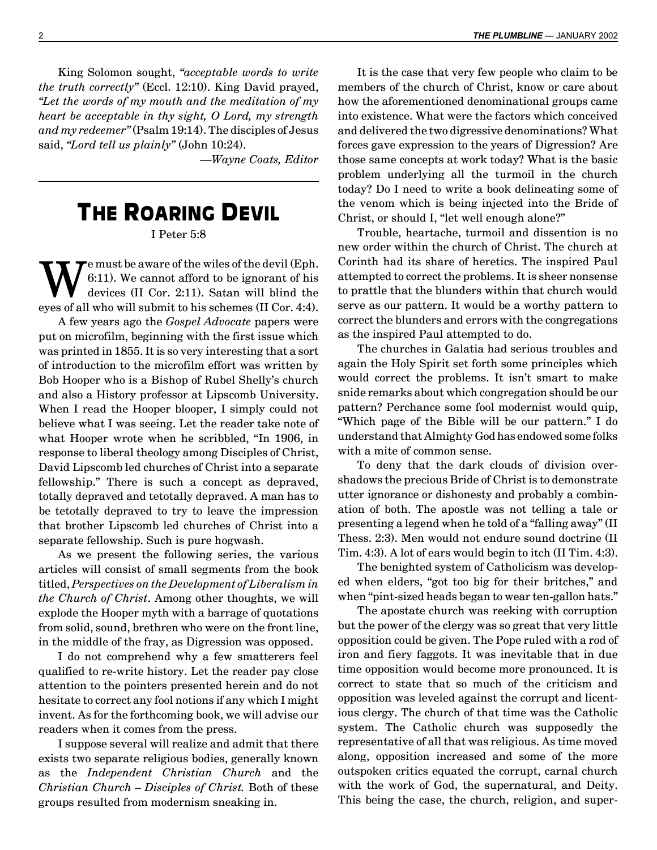King Solomon sought, *ìacceptable words to write the truth correctlyî* (Eccl. 12:10). King David prayed, *ìLet the words of my mouth and the meditation of my heart be acceptable in thy sight, O Lord, my strength and my redeemerî* (Psalm 19:14). The disciples of Jesus said, *"Lord tell us plainly"* (John 10:24).

ó*Wayne Coats, Editor*

# **THE ROARING DEVIL**

I Peter 5:8

 $\sum_{\text{few}}$  fe must be aware of the wiles of the devil (Eph.<br>6:11). We cannot afford to be ignorant of his<br>devices (II Cor. 2:11). Satan will blind the 6:11). We cannot afford to be ignorant of his devices (II Cor. 2:11). Satan will blind the eyes of all who will submit to his schemes (II Cor. 4:4).

A few years ago the *Gospel Advocate* papers were put on microfilm, beginning with the first issue which was printed in 1855. It is so very interesting that a sort of introduction to the microfilm effort was written by Bob Hooper who is a Bishop of Rubel Shelly's church and also a History professor at Lipscomb University. When I read the Hooper blooper, I simply could not believe what I was seeing. Let the reader take note of what Hooper wrote when he scribbled, "In 1906, in response to liberal theology among Disciples of Christ, David Lipscomb led churches of Christ into a separate fellowship." There is such a concept as depraved, totally depraved and tetotally depraved. A man has to be tetotally depraved to try to leave the impression that brother Lipscomb led churches of Christ into a separate fellowship. Such is pure hogwash.

As we present the following series, the various articles will consist of small segments from the book titled, *Perspectives on the Development of Liberalism in the Church of Christ*. Among other thoughts, we will explode the Hooper myth with a barrage of quotations from solid, sound, brethren who were on the front line, in the middle of the fray, as Digression was opposed.

I do not comprehend why a few smatterers feel qualified to re-write history. Let the reader pay close attention to the pointers presented herein and do not hesitate to correct any fool notions if any which I might invent. As for the forthcoming book, we will advise our readers when it comes from the press.

I suppose several will realize and admit that there exists two separate religious bodies, generally known as the *Independent Christian Church* and the *Christian Church – Disciples of Christ.* Both of these groups resulted from modernism sneaking in.

It is the case that very few people who claim to be members of the church of Christ, know or care about how the aforementioned denominational groups came into existence. What were the factors which conceived and delivered the two digressive denominations? What forces gave expression to the years of Digression? Are those same concepts at work today? What is the basic problem underlying all the turmoil in the church today? Do I need to write a book delineating some of the venom which is being injected into the Bride of Christ, or should I, "let well enough alone?"

Trouble, heartache, turmoil and dissention is no new order within the church of Christ. The church at Corinth had its share of heretics. The inspired Paul attempted to correct the problems. It is sheer nonsense to prattle that the blunders within that church would serve as our pattern. It would be a worthy pattern to correct the blunders and errors with the congregations as the inspired Paul attempted to do.

The churches in Galatia had serious troubles and again the Holy Spirit set forth some principles which would correct the problems. It isn't smart to make snide remarks about which congregation should be our pattern? Perchance some fool modernist would quip, ìWhich page of the Bible will be our pattern.î I do understand that Almighty God has endowed some folks with a mite of common sense.

To deny that the dark clouds of division overshadows the precious Bride of Christ is to demonstrate utter ignorance or dishonesty and probably a combination of both. The apostle was not telling a tale or presenting a legend when he told of a "falling away" (II Thess. 2:3). Men would not endure sound doctrine (II Tim. 4:3). A lot of ears would begin to itch (II Tim. 4:3).

The benighted system of Catholicism was developed when elders, "got too big for their britches," and when "pint-sized heads began to wear ten-gallon hats."

The apostate church was reeking with corruption but the power of the clergy was so great that very little opposition could be given. The Pope ruled with a rod of iron and fiery faggots. It was inevitable that in due time opposition would become more pronounced. It is correct to state that so much of the criticism and opposition was leveled against the corrupt and licentious clergy. The church of that time was the Catholic system. The Catholic church was supposedly the representative of all that was religious. As time moved along, opposition increased and some of the more outspoken critics equated the corrupt, carnal church with the work of God, the supernatural, and Deity. This being the case, the church, religion, and super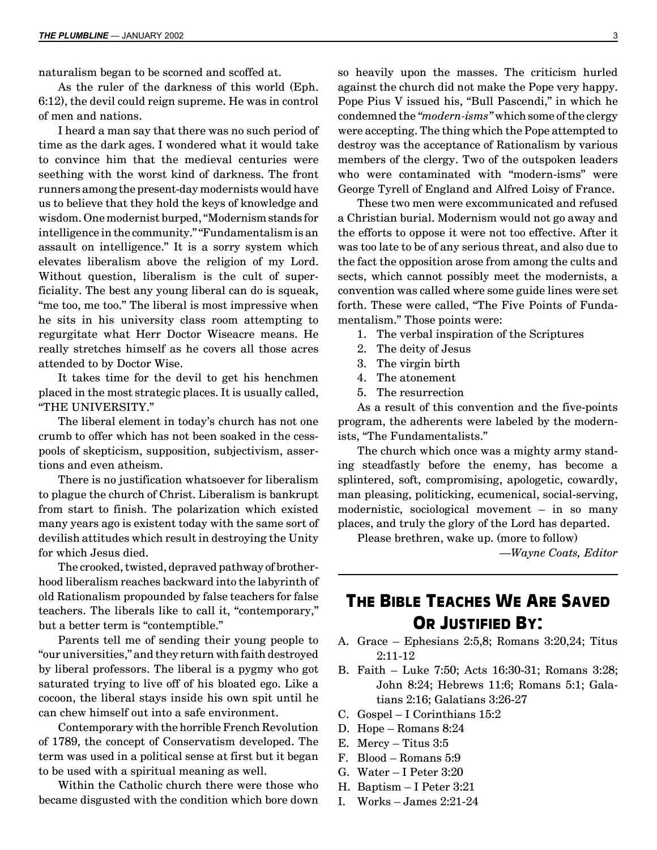naturalism began to be scorned and scoffed at.

As the ruler of the darkness of this world (Eph. 6:12), the devil could reign supreme. He was in control of men and nations.

I heard a man say that there was no such period of time as the dark ages. I wondered what it would take to convince him that the medieval centuries were seething with the worst kind of darkness. The front runners among the present-day modernists would have us to believe that they hold the keys of knowledge and wisdom. One modernist burped, "Modernism stands for intelligence in the community." "Fundamentalism is an assault on intelligence." It is a sorry system which elevates liberalism above the religion of my Lord. Without question, liberalism is the cult of superficiality. The best any young liberal can do is squeak, "me too, me too." The liberal is most impressive when he sits in his university class room attempting to regurgitate what Herr Doctor Wiseacre means. He really stretches himself as he covers all those acres attended to by Doctor Wise.

It takes time for the devil to get his henchmen placed in the most strategic places. It is usually called, "THE UNIVERSITY."

The liberal element in today's church has not one crumb to offer which has not been soaked in the cesspools of skepticism, supposition, subjectivism, assertions and even atheism.

There is no justification whatsoever for liberalism to plague the church of Christ. Liberalism is bankrupt from start to finish. The polarization which existed many years ago is existent today with the same sort of devilish attitudes which result in destroying the Unity for which Jesus died.

The crooked, twisted, depraved pathway of brotherhood liberalism reaches backward into the labyrinth of old Rationalism propounded by false teachers for false teachers. The liberals like to call it, "contemporary," but a better term is "contemptible."

Parents tell me of sending their young people to ìour universities,î and they return with faith destroyed by liberal professors. The liberal is a pygmy who got saturated trying to live off of his bloated ego. Like a cocoon, the liberal stays inside his own spit until he can chew himself out into a safe environment.

Contemporary with the horrible French Revolution of 1789, the concept of Conservatism developed. The term was used in a political sense at first but it began to be used with a spiritual meaning as well.

Within the Catholic church there were those who became disgusted with the condition which bore down so heavily upon the masses. The criticism hurled against the church did not make the Pope very happy. Pope Pius V issued his, "Bull Pascendi," in which he condemned the "*modern-isms*" which some of the clergy were accepting. The thing which the Pope attempted to destroy was the acceptance of Rationalism by various members of the clergy. Two of the outspoken leaders who were contaminated with "modern-isms" were George Tyrell of England and Alfred Loisy of France.

These two men were excommunicated and refused a Christian burial. Modernism would not go away and the efforts to oppose it were not too effective. After it was too late to be of any serious threat, and also due to the fact the opposition arose from among the cults and sects, which cannot possibly meet the modernists, a convention was called where some guide lines were set forth. These were called, "The Five Points of Fundamentalism." Those points were:

1. The verbal inspiration of the Scriptures

- 2. The deity of Jesus
- 3. The virgin birth
- 4. The atonement
- 5. The resurrection

As a result of this convention and the five-points program, the adherents were labeled by the modernists, "The Fundamentalists."

The church which once was a mighty army standing steadfastly before the enemy, has become a splintered, soft, compromising, apologetic, cowardly, man pleasing, politicking, ecumenical, social-serving, modernistic, sociological movement  $-$  in so many places, and truly the glory of the Lord has departed.

Please brethren, wake up. (more to follow) ó*Wayne Coats, Editor*

## **THE BIBLE TEACHES WE ARE SAVED OR JUSTIFIED BY:**

- A. Grace  $-$  Ephesians 2:5,8; Romans 3:20,24; Titus 2:11-12
- B. Faith  $-$  Luke 7:50; Acts 16:30-31; Romans 3:28; John 8:24; Hebrews 11:6; Romans 5:1; Galatians 2:16; Galatians 3:26-27
- C. Gospel  $-I$  Corinthians 15:2
- D. Hope  $-$  Romans 8:24
- E. Mercy Titus  $3:5$
- F. Blood  $-$  Romans 5:9
- G. Water  $-I$  Peter 3:20
- H. Baptism  $-$  I Peter 3:21
- I. Works  $-$  James 2:21-24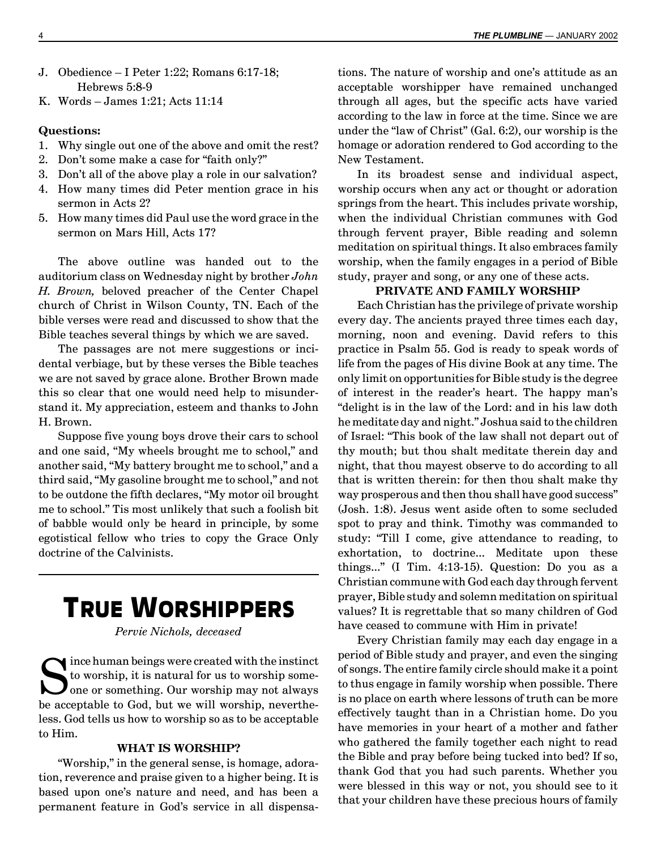- J. Obedience I Peter 1:22; Romans 6:17-18; Hebrews 5:8-9
- K. Words  $-$  James 1:21; Acts 11:14

## **Questions:**

- 1. Why single out one of the above and omit the rest?
- 2. Don't some make a case for "faith only?"
- 3. Don't all of the above play a role in our salvation?
- 4. How many times did Peter mention grace in his sermon in Acts 2?
- 5. How many times did Paul use the word grace in the sermon on Mars Hill, Acts 17?

The above outline was handed out to the auditorium class on Wednesday night by brother *John H. Brown,* beloved preacher of the Center Chapel church of Christ in Wilson County, TN. Each of the bible verses were read and discussed to show that the Bible teaches several things by which we are saved.

The passages are not mere suggestions or incidental verbiage, but by these verses the Bible teaches we are not saved by grace alone. Brother Brown made this so clear that one would need help to misunderstand it. My appreciation, esteem and thanks to John H. Brown.

Suppose five young boys drove their cars to school and one said, "My wheels brought me to school," and another said, "My battery brought me to school," and a third said, "My gasoline brought me to school," and not to be outdone the fifth declares, "My motor oil brought me to school.î Tis most unlikely that such a foolish bit of babble would only be heard in principle, by some egotistical fellow who tries to copy the Grace Only doctrine of the Calvinists.

# **TRUE WORSHIPPERS**

*Pervie Nichols, deceased*

Since human beings were created with the instinct to worship, it is natural for us to worship someone or something. Our worship may not always be acceptable to God, but we will worship, nevertheless. God tells us how to worship so as to be acceptable to Him.

## **WHAT IS WORSHIP?**

"Worship," in the general sense, is homage, adoration, reverence and praise given to a higher being. It is based upon one's nature and need, and has been a permanent feature in Godís service in all dispensations. The nature of worship and one's attitude as an acceptable worshipper have remained unchanged through all ages, but the specific acts have varied according to the law in force at the time. Since we are under the "law of Christ" (Gal.  $6:2$ ), our worship is the homage or adoration rendered to God according to the New Testament.

In its broadest sense and individual aspect, worship occurs when any act or thought or adoration springs from the heart. This includes private worship, when the individual Christian communes with God through fervent prayer, Bible reading and solemn meditation on spiritual things. It also embraces family worship, when the family engages in a period of Bible study, prayer and song, or any one of these acts.

## **PRIVATE AND FAMILY WORSHIP**

Each Christian has the privilege of private worship every day. The ancients prayed three times each day, morning, noon and evening. David refers to this practice in Psalm 55. God is ready to speak words of life from the pages of His divine Book at any time. The only limit on opportunities for Bible study is the degree of interest in the reader's heart. The happy man's "delight is in the law of the Lord: and in his law doth he meditate day and night." Joshua said to the children of Israel: "This book of the law shall not depart out of thy mouth; but thou shalt meditate therein day and night, that thou mayest observe to do according to all that is written therein: for then thou shalt make thy way prosperous and then thou shall have good success" (Josh. 1:8). Jesus went aside often to some secluded spot to pray and think. Timothy was commanded to study: "Till I come, give attendance to reading, to exhortation, to doctrine... Meditate upon these things..." (I Tim. 4:13-15). Question: Do you as a Christian commune with God each day through fervent prayer, Bible study and solemn meditation on spiritual values? It is regrettable that so many children of God have ceased to commune with Him in private!

Every Christian family may each day engage in a period of Bible study and prayer, and even the singing of songs. The entire family circle should make it a point to thus engage in family worship when possible. There is no place on earth where lessons of truth can be more effectively taught than in a Christian home. Do you have memories in your heart of a mother and father who gathered the family together each night to read the Bible and pray before being tucked into bed? If so, thank God that you had such parents. Whether you were blessed in this way or not, you should see to it that your children have these precious hours of family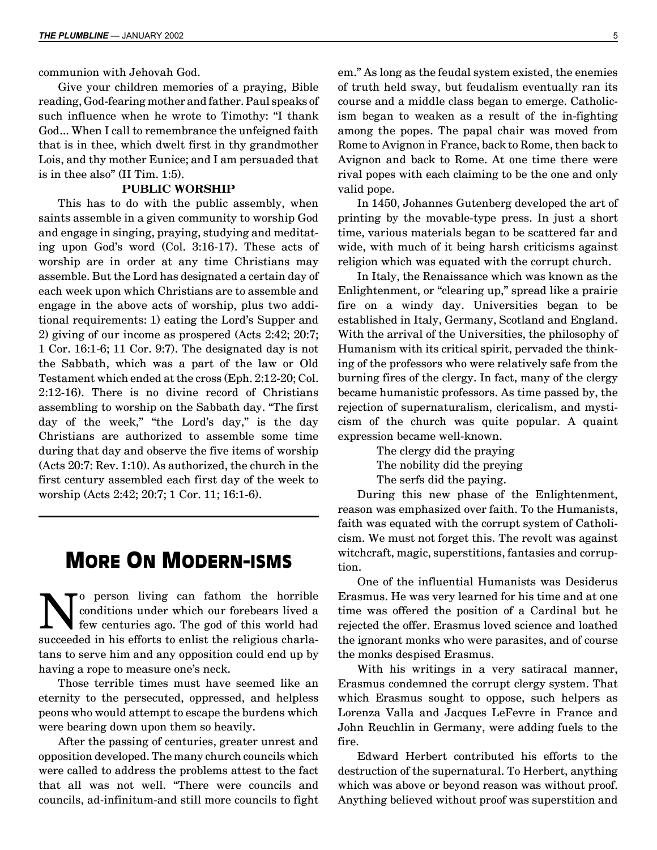communion with Jehovah God.

Give your children memories of a praying, Bible reading, God-fearing mother and father. Paul speaks of such influence when he wrote to Timothy: "I thank God... When I call to remembrance the unfeigned faith that is in thee, which dwelt first in thy grandmother Lois, and thy mother Eunice; and I am persuaded that is in the also"  $(II Tim. 1:5)$ .

## **PUBLIC WORSHIP**

This has to do with the public assembly, when saints assemble in a given community to worship God and engage in singing, praying, studying and meditating upon God's word (Col. 3:16-17). These acts of worship are in order at any time Christians may assemble. But the Lord has designated a certain day of each week upon which Christians are to assemble and engage in the above acts of worship, plus two additional requirements: 1) eating the Lord's Supper and 2) giving of our income as prospered (Acts 2:42; 20:7; 1 Cor. 16:1-6; 11 Cor. 9:7). The designated day is not the Sabbath, which was a part of the law or Old Testament which ended at the cross (Eph. 2:12-20; Col. 2:12-16). There is no divine record of Christians assembling to worship on the Sabbath day. "The first day of the week," "the Lord's day," is the day Christians are authorized to assemble some time during that day and observe the five items of worship (Acts 20:7: Rev. 1:10). As authorized, the church in the first century assembled each first day of the week to worship (Acts 2:42; 20:7; 1 Cor. 11; 16:1-6).

## **MORE ON MODERN-ISMS**

No person living can fathom the horrible<br>conditions under which our forebears lived a<br>few centuries ago. The god of this world had<br>guesseded in his offents to calid the politicus should conditions under which our forebears lived a succeeded in his efforts to enlist the religious charlatans to serve him and any opposition could end up by having a rope to measure one's neck.

Those terrible times must have seemed like an eternity to the persecuted, oppressed, and helpless peons who would attempt to escape the burdens which were bearing down upon them so heavily.

After the passing of centuries, greater unrest and opposition developed. The many church councils which were called to address the problems attest to the fact that all was not well. "There were councils and councils, ad-infinitum-and still more councils to fight em." As long as the feudal system existed, the enemies of truth held sway, but feudalism eventually ran its course and a middle class began to emerge. Catholicism began to weaken as a result of the in-fighting among the popes. The papal chair was moved from Rome to Avignon in France, back to Rome, then back to Avignon and back to Rome. At one time there were rival popes with each claiming to be the one and only valid pope.

In 1450, Johannes Gutenberg developed the art of printing by the movable-type press. In just a short time, various materials began to be scattered far and wide, with much of it being harsh criticisms against religion which was equated with the corrupt church.

In Italy, the Renaissance which was known as the Enlightenment, or "clearing up," spread like a prairie fire on a windy day. Universities began to be established in Italy, Germany, Scotland and England. With the arrival of the Universities, the philosophy of Humanism with its critical spirit, pervaded the thinking of the professors who were relatively safe from the burning fires of the clergy. In fact, many of the clergy became humanistic professors. As time passed by, the rejection of supernaturalism, clericalism, and mysticism of the church was quite popular. A quaint expression became well-known.

> The clergy did the praying The nobility did the preying The serfs did the paying.

During this new phase of the Enlightenment, reason was emphasized over faith. To the Humanists, faith was equated with the corrupt system of Catholicism. We must not forget this. The revolt was against witchcraft, magic, superstitions, fantasies and corruption.

One of the influential Humanists was Desiderus Erasmus. He was very learned for his time and at one time was offered the position of a Cardinal but he rejected the offer. Erasmus loved science and loathed the ignorant monks who were parasites, and of course the monks despised Erasmus.

With his writings in a very satiracal manner, Erasmus condemned the corrupt clergy system. That which Erasmus sought to oppose, such helpers as Lorenza Valla and Jacques LeFevre in France and John Reuchlin in Germany, were adding fuels to the fire.

Edward Herbert contributed his efforts to the destruction of the supernatural. To Herbert, anything which was above or beyond reason was without proof. Anything believed without proof was superstition and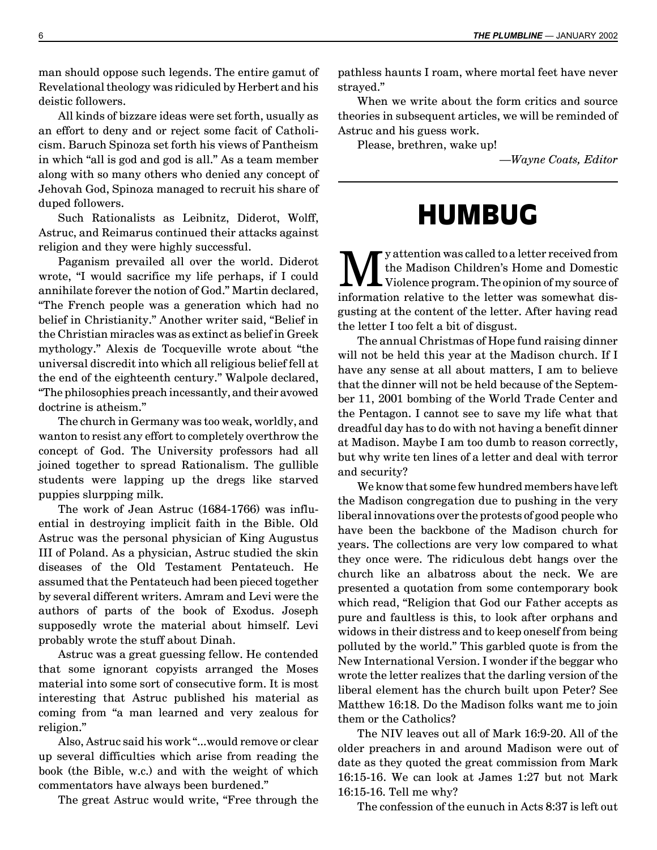man should oppose such legends. The entire gamut of Revelational theology was ridiculed by Herbert and his deistic followers.

All kinds of bizzare ideas were set forth, usually as an effort to deny and or reject some facit of Catholicism. Baruch Spinoza set forth his views of Pantheism in which "all is god and god is all." As a team member along with so many others who denied any concept of Jehovah God, Spinoza managed to recruit his share of duped followers.

Such Rationalists as Leibnitz, Diderot, Wolff, Astruc, and Reimarus continued their attacks against religion and they were highly successful.

Paganism prevailed all over the world. Diderot wrote, "I would sacrifice my life perhaps, if I could annihilate forever the notion of God." Martin declared, ìThe French people was a generation which had no belief in Christianity." Another writer said, "Belief in the Christian miracles was as extinct as belief in Greek mythology." Alexis de Tocqueville wrote about "the universal discredit into which all religious belief fell at the end of the eighteenth century." Walpole declared, ìThe philosophies preach incessantly, and their avowed doctrine is atheism."

The church in Germany was too weak, worldly, and wanton to resist any effort to completely overthrow the concept of God. The University professors had all joined together to spread Rationalism. The gullible students were lapping up the dregs like starved puppies slurpping milk.

The work of Jean Astruc (1684-1766) was influential in destroying implicit faith in the Bible. Old Astruc was the personal physician of King Augustus III of Poland. As a physician, Astruc studied the skin diseases of the Old Testament Pentateuch. He assumed that the Pentateuch had been pieced together by several different writers. Amram and Levi were the authors of parts of the book of Exodus. Joseph supposedly wrote the material about himself. Levi probably wrote the stuff about Dinah.

Astruc was a great guessing fellow. He contended that some ignorant copyists arranged the Moses material into some sort of consecutive form. It is most interesting that Astruc published his material as coming from "a man learned and very zealous for religion."

Also, Astruc said his work "...would remove or clear up several difficulties which arise from reading the book (the Bible, w.c.) and with the weight of which commentators have always been burdened."

The great Astruc would write, "Free through the

pathless haunts I roam, where mortal feet have never strayed."

When we write about the form critics and source theories in subsequent articles, we will be reminded of Astruc and his guess work.

Please, brethren, wake up!

ó*Wayne Coats, Editor*

# **HUMBUG**

We attention was called to a letter received from<br>the Madison Children's Home and Domestic<br>information makiive to the letter was semerabed discussed the Madison Children's Home and Domestic information relative to the letter was somewhat disgusting at the content of the letter. After having read the letter I too felt a bit of disgust.

The annual Christmas of Hope fund raising dinner will not be held this year at the Madison church. If I have any sense at all about matters, I am to believe that the dinner will not be held because of the September 11, 2001 bombing of the World Trade Center and the Pentagon. I cannot see to save my life what that dreadful day has to do with not having a benefit dinner at Madison. Maybe I am too dumb to reason correctly, but why write ten lines of a letter and deal with terror and security?

We know that some few hundred members have left the Madison congregation due to pushing in the very liberal innovations over the protests of good people who have been the backbone of the Madison church for years. The collections are very low compared to what they once were. The ridiculous debt hangs over the church like an albatross about the neck. We are presented a quotation from some contemporary book which read, "Religion that God our Father accepts as pure and faultless is this, to look after orphans and widows in their distress and to keep oneself from being polluted by the world.î This garbled quote is from the New International Version. I wonder if the beggar who wrote the letter realizes that the darling version of the liberal element has the church built upon Peter? See Matthew 16:18. Do the Madison folks want me to join them or the Catholics?

The NIV leaves out all of Mark 16:9-20. All of the older preachers in and around Madison were out of date as they quoted the great commission from Mark 16:15-16. We can look at James 1:27 but not Mark 16:15-16. Tell me why?

The confession of the eunuch in Acts 8:37 is left out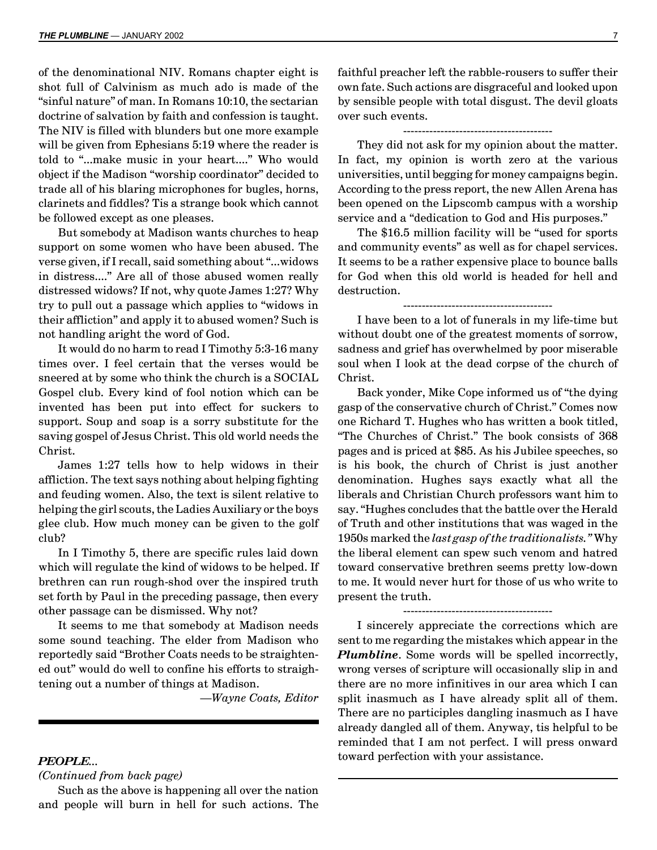of the denominational NIV. Romans chapter eight is shot full of Calvinism as much ado is made of the "sinful nature" of man. In Romans 10:10, the sectarian doctrine of salvation by faith and confession is taught. The NIV is filled with blunders but one more example will be given from Ephesians 5:19 where the reader is told to "...make music in your heart...." Who would object if the Madison "worship coordinator" decided to trade all of his blaring microphones for bugles, horns, clarinets and fiddles? Tis a strange book which cannot be followed except as one pleases.

But somebody at Madison wants churches to heap support on some women who have been abused. The verse given, if I recall, said something about "...widows" in distress...." Are all of those abused women really distressed widows? If not, why quote James 1:27? Why try to pull out a passage which applies to "widows in their afflictionî and apply it to abused women? Such is not handling aright the word of God.

It would do no harm to read I Timothy 5:3-16 many times over. I feel certain that the verses would be sneered at by some who think the church is a SOCIAL Gospel club. Every kind of fool notion which can be invented has been put into effect for suckers to support. Soup and soap is a sorry substitute for the saving gospel of Jesus Christ. This old world needs the Christ.

James 1:27 tells how to help widows in their affliction. The text says nothing about helping fighting and feuding women. Also, the text is silent relative to helping the girl scouts, the Ladies Auxiliary or the boys glee club. How much money can be given to the golf club?

In I Timothy 5, there are specific rules laid down which will regulate the kind of widows to be helped. If brethren can run rough-shod over the inspired truth set forth by Paul in the preceding passage, then every other passage can be dismissed. Why not?

It seems to me that somebody at Madison needs some sound teaching. The elder from Madison who reportedly said "Brother Coats needs to be straightened out" would do well to confine his efforts to straightening out a number of things at Madison.

ó*Wayne Coats, Editor*

## *PEOPLE...*

*(Continued from back page)*

Such as the above is happening all over the nation and people will burn in hell for such actions. The

faithful preacher left the rabble-rousers to suffer their own fate. Such actions are disgraceful and looked upon by sensible people with total disgust. The devil gloats over such events.

### ----------------------------------------

They did not ask for my opinion about the matter. In fact, my opinion is worth zero at the various universities, until begging for money campaigns begin. According to the press report, the new Allen Arena has been opened on the Lipscomb campus with a worship service and a "dedication to God and His purposes."

The \$16.5 million facility will be "used for sports" and community events" as well as for chapel services. It seems to be a rather expensive place to bounce balls for God when this old world is headed for hell and destruction.

----------------------------------------

I have been to a lot of funerals in my life-time but without doubt one of the greatest moments of sorrow, sadness and grief has overwhelmed by poor miserable soul when I look at the dead corpse of the church of Christ.

Back yonder, Mike Cope informed us of "the dying" gasp of the conservative church of Christ." Comes now one Richard T. Hughes who has written a book titled, ìThe Churches of Christ.î The book consists of 368 pages and is priced at \$85. As his Jubilee speeches, so is his book, the church of Christ is just another denomination. Hughes says exactly what all the liberals and Christian Church professors want him to say. "Hughes concludes that the battle over the Herald of Truth and other institutions that was waged in the 1950s marked the *last gasp of the traditionalists.î* Why the liberal element can spew such venom and hatred toward conservative brethren seems pretty low-down to me. It would never hurt for those of us who write to present the truth.

I sincerely appreciate the corrections which are sent to me regarding the mistakes which appear in the *Plumbline*. Some words will be spelled incorrectly, wrong verses of scripture will occasionally slip in and there are no more infinitives in our area which I can split inasmuch as I have already split all of them. There are no participles dangling inasmuch as I have already dangled all of them. Anyway, tis helpful to be reminded that I am not perfect. I will press onward toward perfection with your assistance.